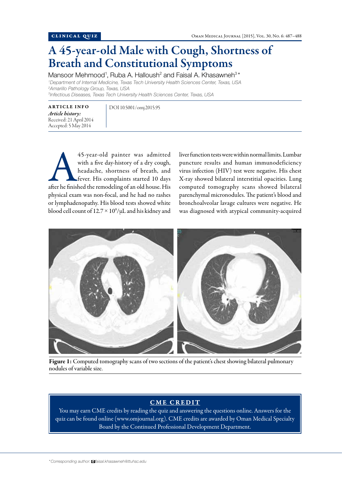## A 45-year-old Male with Cough, Shortness of Breath and Constitutional Symptoms

Mansoor Mehmood<sup>1</sup>, Ruba A. Halloush<sup>2</sup> and Faisal A. Khasawneh<sup>3\*</sup> *Department of Internal Medicine, Texas Tech University Health Sciences Center, Texas, USA Amarillo Pathology Group, Texas, USA Infectious Diseases, Texas Tech University Health Sciences Center, Texas, USA*

ARTICLE INFO *Article history:*  Received: 21 April 2014 Accepted: 5 May 2014

DOI 10.5001/omj.2015.95

45-year-old painter was admitted<br>
with a five day-history of a dry cough,<br>
headache, shortness of breath, and<br>
fever. His complaints started 10 days<br>
after he finished the remodeling of an old house. His with a five day-history of a dry cough, headache, shortness of breath, and fever. His complaints started 10 days physical exam was non-focal, and he had no rashes or lymphadenopathy. His blood tests showed white blood cell count of  $12.7 \times 10^9/\mu$ L and his kidney and

liver function tests were within normal limits. Lumbar puncture results and human immunodeficiency virus infection (HIV) test were negative. His chest X-ray showed bilateral interstitial opacities. Lung computed tomography scans showed bilateral parenchymal micronodules. The patient's blood and bronchoalveolar lavage cultures were negative. He was diagnosed with atypical community-acquired



Figure 1: Computed tomography scans of two sections of the patient's chest showing bilateral pulmonary nodules of variable size.

## CME CREDIT

You may earn CME credits by reading the quiz and answering the questions online. Answers for the quiz can be found online (www.omjournal.org). CME credits are awarded by Oman Medical Specialty Board by the Continued Professional Development Department.